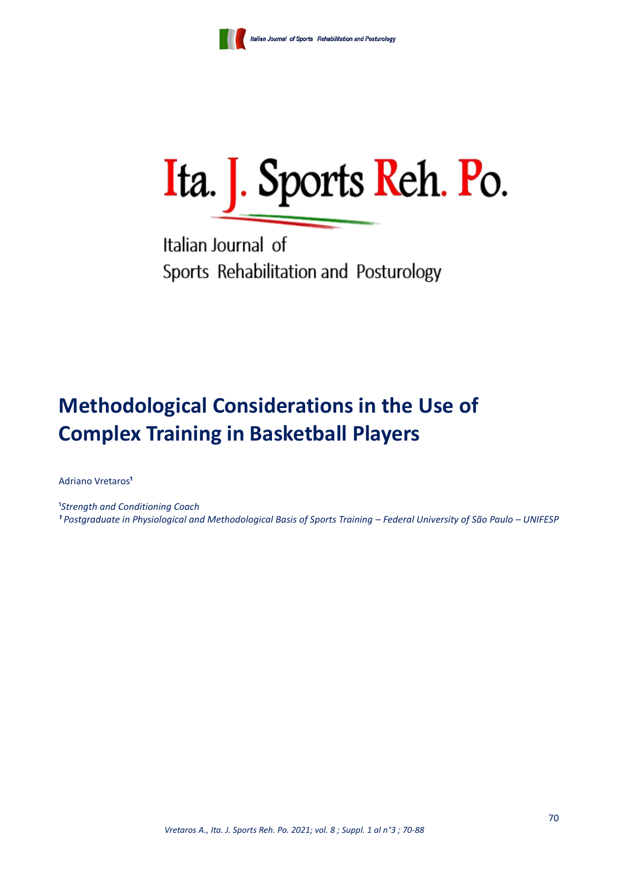

Ita. J. Sports Reh. Po.

Italian Journal of Sports Rehabilitation and Posturology

# **Methodological Considerations in the Use of Complex Training in Basketball Players**

Adriano Vretaros<sup>1</sup>

<sup>1</sup>Strength and Conditioning Coach *¹ Postgraduate in Physiological and Methodological Basis of Sports Training – Federal University of São Paulo – UNIFESP*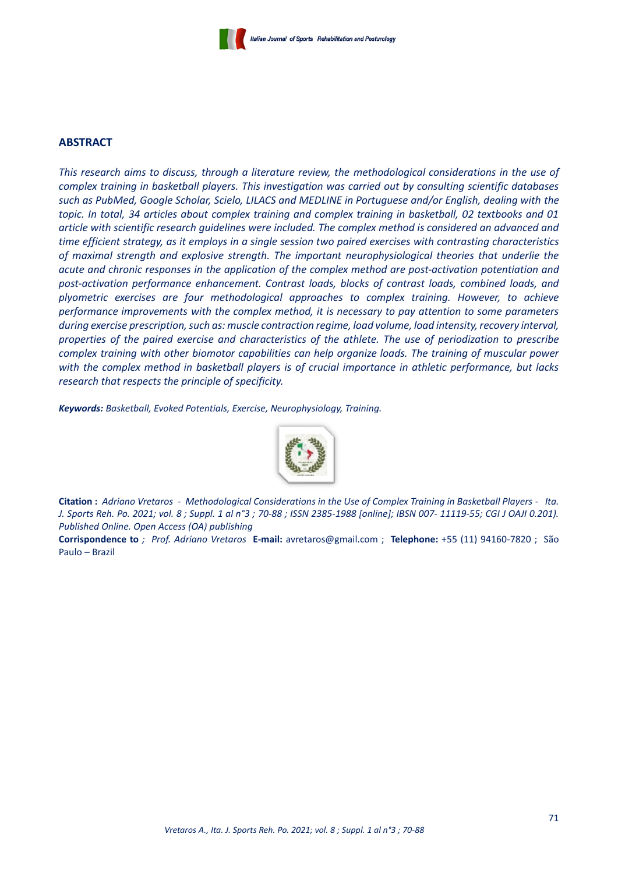## **ABSTRACT**

*This research aims to discuss, through a literature review, the methodological considerations in the use of complex training in basketball players. This investigation was carried out by consulting scientific databases such as PubMed, Google Scholar, Scielo, LILACS and MEDLINE in Portuguese and/or English, dealing with the topic. In total, 34 articles about complex training and complex training in basketball, 02 textbooks and 01 article with scientific research guidelines were included. The complex method is considered an advanced and time efficient strategy, as it employs in a single session two paired exercises with contrasting characteristics of maximal strength and explosive strength. The important neurophysiological theories that underlie the acute and chronic responses in the application of the complex method are post-activation potentiation and post-activation performance enhancement. Contrast loads, blocks of contrast loads, combined loads, and plyometric exercises are four methodological approaches to complex training. However, to achieve performance improvements with the complex method, it is necessary to pay attention to some parameters during exercise prescription, such as: muscle contraction regime, load volume, load intensity, recovery interval, properties of the paired exercise and characteristics of the athlete. The use of periodization to prescribe complex training with other biomotor capabilities can help organize loads. The training of muscular power with the complex method in basketball players is of crucial importance in athletic performance, but lacks research that respects the principle of specificity.*

*Keywords: Basketball, Evoked Potentials, Exercise, Neurophysiology, Training.*



**Citation :** *Adriano Vretaros - Methodological Considerations in the Use of Complex Training in Basketball Players - Ita. J. Sports Reh. Po. 2021; vol. 8 ; Suppl. 1 al n°3 ; 70-88 ; ISSN 2385-1988 [online]; IBSN 007- 11119-55; CGI J OAJI 0.201). Published Online. Open Access (OA) publishing*

**Corrispondence to** *; Prof. Adriano Vretaros* **E-mail:** [avretaros@gmail.com](mailto:avretaros@gmail.com) ; **Telephone:** +55 (11) 94160-7820 ; São Paulo – Brazil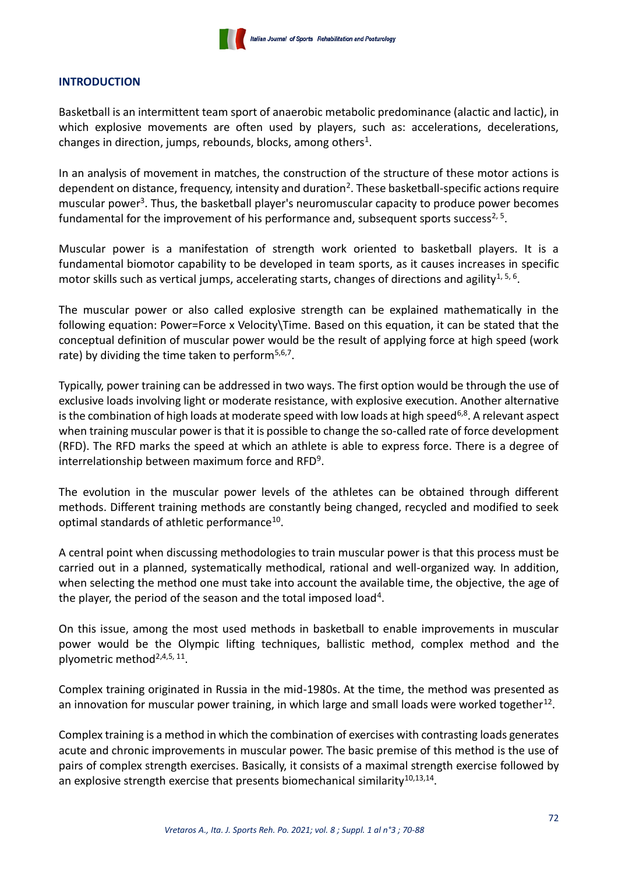

## **INTRODUCTION**

Basketball is an intermittent team sport of anaerobic metabolic predominance (alactic and lactic), in which explosive movements are often used by players, such as: accelerations, decelerations, changes in direction, jumps, rebounds, blocks, among others<sup>1</sup>.

In an analysis of movement in matches, the construction of the structure of these motor actions is dependent on distance, frequency, intensity and duration<sup>2</sup>. These basketball-specific actions require muscular power<sup>3</sup>. Thus, the basketball player's neuromuscular capacity to produce power becomes fundamental for the improvement of his performance and, subsequent sports success<sup>2, 5</sup>.

Muscular power is a manifestation of strength work oriented to basketball players. It is a fundamental biomotor capability to be developed in team sports, as it causes increases in specific motor skills such as vertical jumps, accelerating starts, changes of directions and agility<sup>1, 5, 6</sup>.

The muscular power or also called explosive strength can be explained mathematically in the following equation: Power=Force x Velocity\Time. Based on this equation, it can be stated that the conceptual definition of muscular power would be the result of applying force at high speed (work rate) by dividing the time taken to perform<sup>5,6,7</sup>.

Typically, power training can be addressed in two ways. The first option would be through the use of exclusive loads involving light or moderate resistance, with explosive execution. Another alternative is the combination of high loads at moderate speed with low loads at high speed<sup>6,8</sup>. A relevant aspect when training muscular power is that it is possible to change the so-called rate of force development (RFD). The RFD marks the speed at which an athlete is able to express force. There is a degree of interrelationship between maximum force and RFD $9$ .

The evolution in the muscular power levels of the athletes can be obtained through different methods. Different training methods are constantly being changed, recycled and modified to seek optimal standards of athletic performance<sup>10</sup>.

A central point when discussing methodologies to train muscular power is that this process must be carried out in a planned, systematically methodical, rational and well-organized way. In addition, when selecting the method one must take into account the available time, the objective, the age of the player, the period of the season and the total imposed load<sup>4</sup>.

On this issue, among the most used methods in basketball to enable improvements in muscular power would be the Olympic lifting techniques, ballistic method, complex method and the plyometric method<sup>2,4,5, 11</sup>.

Complex training originated in Russia in the mid-1980s. At the time, the method was presented as an innovation for muscular power training, in which large and small loads were worked together<sup>12</sup>.

Complex training is a method in which the combination of exercises with contrasting loads generates acute and chronic improvements in muscular power. The basic premise of this method is the use of pairs of complex strength exercises. Basically, it consists of a maximal strength exercise followed by an explosive strength exercise that presents biomechanical similarity<sup>10,13,14</sup>.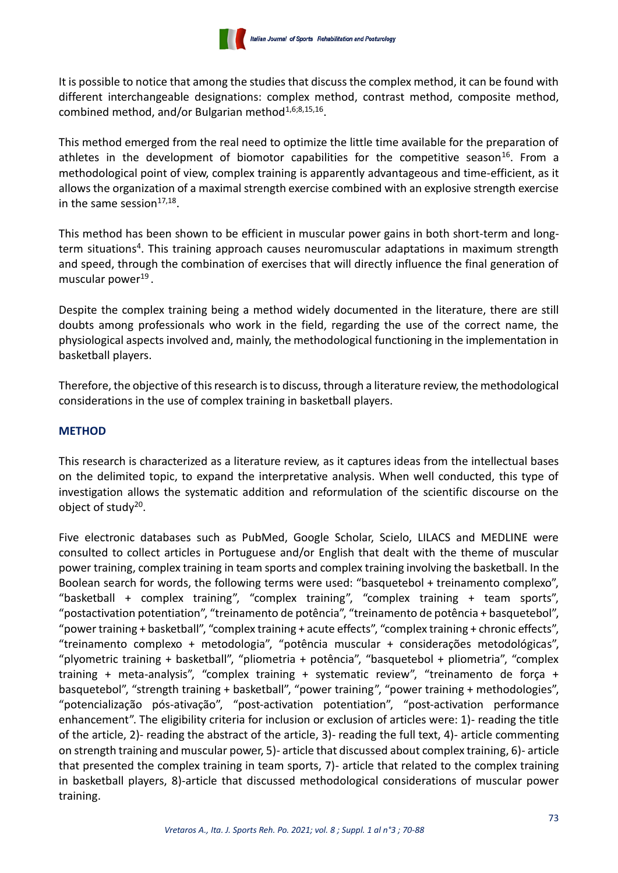It is possible to notice that among the studies that discuss the complex method, it can be found with different interchangeable designations: complex method, contrast method, composite method, combined method, and/or Bulgarian method<sup>1,6;8,15,16</sup>.

This method emerged from the real need to optimize the little time available for the preparation of athletes in the development of biomotor capabilities for the competitive season<sup>16</sup>. From a methodological point of view, complex training is apparently advantageous and time-efficient, as it allows the organization of a maximal strength exercise combined with an explosive strength exercise in the same session $17,18$ .

This method has been shown to be efficient in muscular power gains in both short-term and longterm situations<sup>4</sup>. This training approach causes neuromuscular adaptations in maximum strength and speed, through the combination of exercises that will directly influence the final generation of muscular power<sup>19</sup>.

Despite the complex training being a method widely documented in the literature, there are still doubts among professionals who work in the field, regarding the use of the correct name, the physiological aspects involved and, mainly, the methodological functioning in the implementation in basketball players.

Therefore, the objective of this research is to discuss, through a literature review, the methodological considerations in the use of complex training in basketball players.

# **METHOD**

This research is characterized as a literature review, as it captures ideas from the intellectual bases on the delimited topic, to expand the interpretative analysis. When well conducted, this type of investigation allows the systematic addition and reformulation of the scientific discourse on the object of study<sup>20</sup>.

Five electronic databases such as PubMed, Google Scholar, Scielo, LILACS and MEDLINE were consulted to collect articles in Portuguese and/or English that dealt with the theme of muscular power training, complex training in team sports and complex training involving the basketball. In the Boolean search for words, the following terms were used: "basquetebol + treinamento complexo", "basketball + complex training", "complex training", "complex training + team sports", "postactivation potentiation", "treinamento de potência", "treinamento de potência + basquetebol", "power training + basketball", "complex training + acute effects", "complex training + chronic effects", "treinamento complexo + metodologia", "potência muscular + considerações metodológicas", "plyometric training + basketball", "pliometria + potência", "basquetebol + pliometria", "complex training + meta-analysis", "complex training + systematic review", "treinamento de força + basquetebol", "strength training + basketball", "power training", "power training + methodologies", "potencialização pós-ativação", "post-activation potentiation", "post-activation performance enhancement". The eligibility criteria for inclusion or exclusion of articles were: 1)- reading the title of the article, 2)- reading the abstract of the article, 3)- reading the full text, 4)- article commenting on strength training and muscular power, 5)- article that discussed about complex training, 6)- article that presented the complex training in team sports, 7)- article that related to the complex training in basketball players, 8)-article that discussed methodological considerations of muscular power training.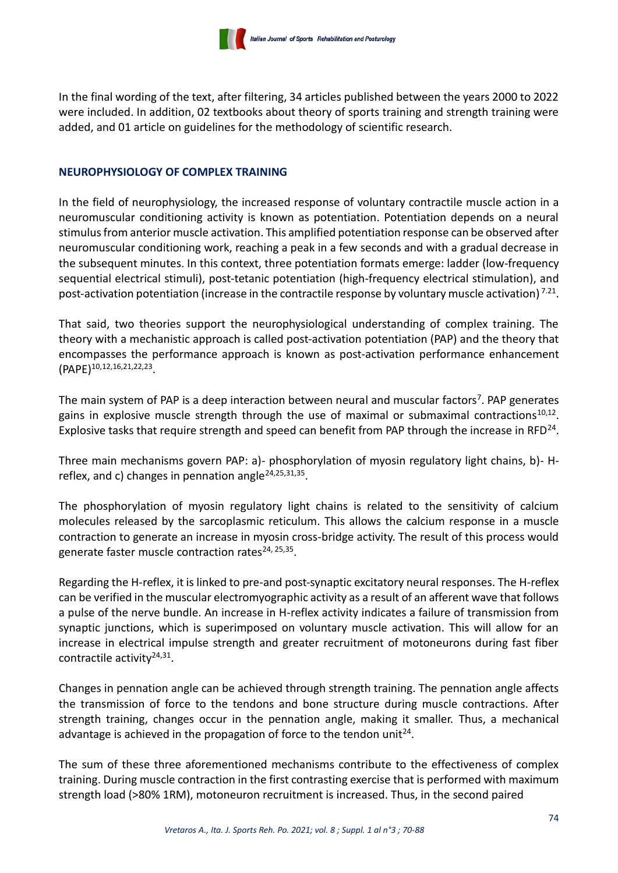In the final wording of the text, after filtering, 34 articles published between the years 2000 to 2022 were included. In addition, 02 textbooks about theory of sports training and strength training were added, and 01 article on guidelines for the methodology of scientific research.

# **NEUROPHYSIOLOGY OF COMPLEX TRAINING**

In the field of neurophysiology, the increased response of voluntary contractile muscle action in a neuromuscular conditioning activity is known as potentiation. Potentiation depends on a neural stimulus from anterior muscle activation. This amplified potentiation response can be observed after neuromuscular conditioning work, reaching a peak in a few seconds and with a gradual decrease in the subsequent minutes. In this context, three potentiation formats emerge: ladder (low-frequency sequential electrical stimuli), post-tetanic potentiation (high-frequency electrical stimulation), and post-activation potentiation (increase in the contractile response by voluntary muscle activation)<sup>7.21</sup>.

That said, two theories support the neurophysiological understanding of complex training. The theory with a mechanistic approach is called post-activation potentiation (PAP) and the theory that encompasses the performance approach is known as post-activation performance enhancement (PAPE)10,12,16,21,22,23 .

The main system of PAP is a deep interaction between neural and muscular factors<sup>7</sup>. PAP generates gains in explosive muscle strength through the use of maximal or submaximal contractions<sup>10,12</sup>. Explosive tasks that require strength and speed can benefit from PAP through the increase in RFD<sup>24</sup>.

Three main mechanisms govern PAP: a)- phosphorylation of myosin regulatory light chains, b)- Hreflex, and c) changes in pennation angle<sup>24,25,31,35</sup>.

The phosphorylation of myosin regulatory light chains is related to the sensitivity of calcium molecules released by the sarcoplasmic reticulum. This allows the calcium response in a muscle contraction to generate an increase in myosin cross-bridge activity. The result of this process would generate faster muscle contraction rates<sup>24, 25,35</sup>.

Regarding the H-reflex, it is linked to pre-and post-synaptic excitatory neural responses. The H-reflex can be verified in the muscular electromyographic activity as a result of an afferent wave that follows a pulse of the nerve bundle. An increase in H-reflex activity indicates a failure of transmission from synaptic junctions, which is superimposed on voluntary muscle activation. This will allow for an increase in electrical impulse strength and greater recruitment of motoneurons during fast fiber contractile activity<sup>24,31</sup>.

Changes in pennation angle can be achieved through strength training. The pennation angle affects the transmission of force to the tendons and bone structure during muscle contractions. After strength training, changes occur in the pennation angle, making it smaller. Thus, a mechanical advantage is achieved in the propagation of force to the tendon unit<sup>24</sup>.

The sum of these three aforementioned mechanisms contribute to the effectiveness of complex training. During muscle contraction in the first contrasting exercise that is performed with maximum strength load (>80% 1RM), motoneuron recruitment is increased. Thus, in the second paired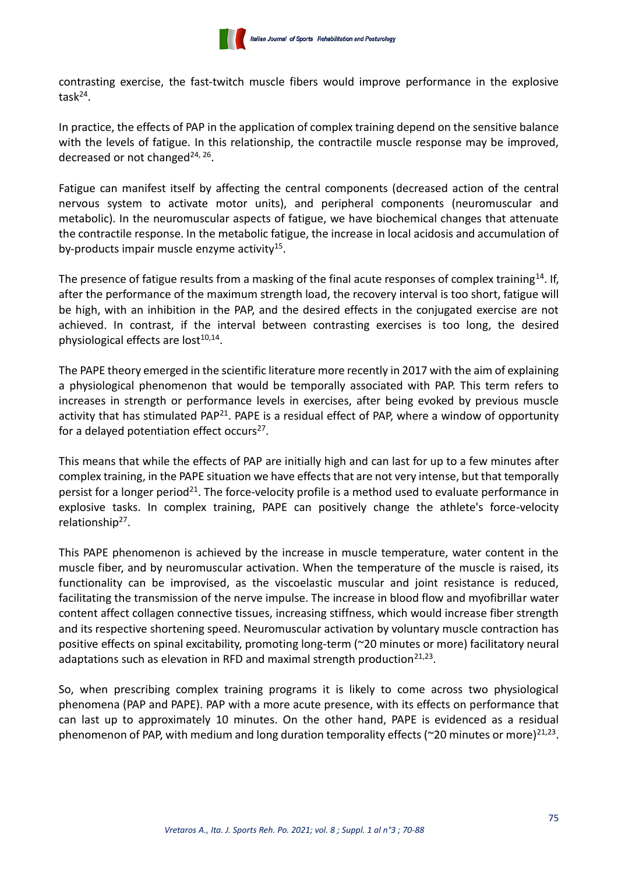

contrasting exercise, the fast-twitch muscle fibers would improve performance in the explosive  $task^{24}$ .

In practice, the effects of PAP in the application of complex training depend on the sensitive balance with the levels of fatigue. In this relationship, the contractile muscle response may be improved, decreased or not changed<sup>24, 26</sup>.

Fatigue can manifest itself by affecting the central components (decreased action of the central nervous system to activate motor units), and peripheral components (neuromuscular and metabolic). In the neuromuscular aspects of fatigue, we have biochemical changes that attenuate the contractile response. In the metabolic fatigue, the increase in local acidosis and accumulation of by-products impair muscle enzyme activity<sup>15</sup>.

The presence of fatigue results from a masking of the final acute responses of complex training<sup>14</sup>. If, after the performance of the maximum strength load, the recovery interval is too short, fatigue will be high, with an inhibition in the PAP, and the desired effects in the conjugated exercise are not achieved. In contrast, if the interval between contrasting exercises is too long, the desired physiological effects are lost<sup>10,14</sup>.

The PAPE theory emerged in the scientific literature more recently in 2017 with the aim of explaining a physiological phenomenon that would be temporally associated with PAP. This term refers to increases in strength or performance levels in exercises, after being evoked by previous muscle activity that has stimulated PAP<sup>21</sup>. PAPE is a residual effect of PAP, where a window of opportunity for a delayed potentiation effect occurs<sup>27</sup>.

This means that while the effects of PAP are initially high and can last for up to a few minutes after complex training, in the PAPE situation we have effects that are not very intense, but that temporally persist for a longer period<sup>21</sup>. The force-velocity profile is a method used to evaluate performance in explosive tasks. In complex training, PAPE can positively change the athlete's force-velocity relationship<sup>27</sup>.

This PAPE phenomenon is achieved by the increase in muscle temperature, water content in the muscle fiber, and by neuromuscular activation. When the temperature of the muscle is raised, its functionality can be improvised, as the viscoelastic muscular and joint resistance is reduced, facilitating the transmission of the nerve impulse. The increase in blood flow and myofibrillar water content affect collagen connective tissues, increasing stiffness, which would increase fiber strength and its respective shortening speed. Neuromuscular activation by voluntary muscle contraction has positive effects on spinal excitability, promoting long-term (~20 minutes or more) facilitatory neural adaptations such as elevation in RFD and maximal strength production $21,23$ .

So, when prescribing complex training programs it is likely to come across two physiological phenomena (PAP and PAPE). PAP with a more acute presence, with its effects on performance that can last up to approximately 10 minutes. On the other hand, PAPE is evidenced as a residual phenomenon of PAP, with medium and long duration temporality effects (~20 minutes or more)<sup>21,23</sup>.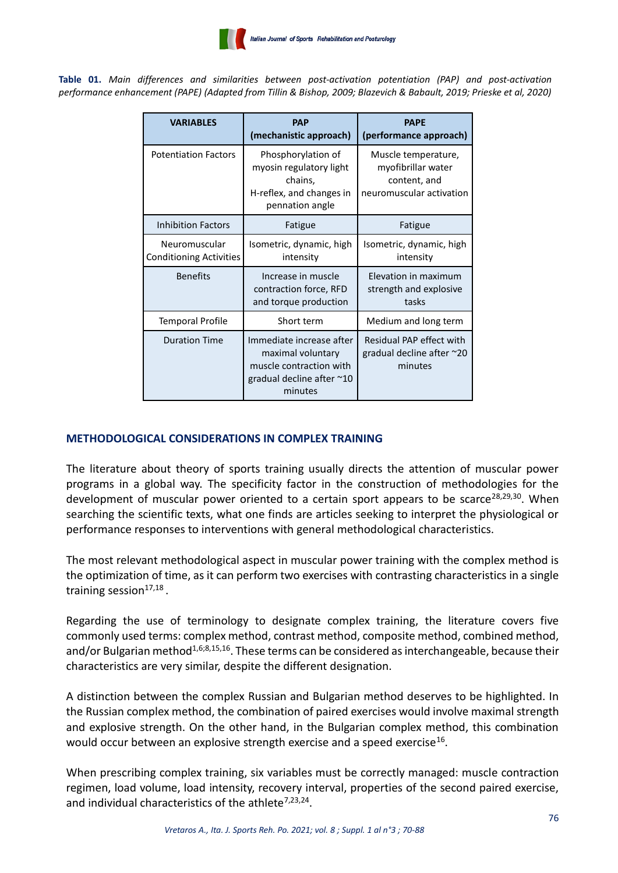**Table 01.** *Main differences and similarities between post-activation potentiation (PAP) and post-activation performance enhancement (PAPE) (Adapted from Tillin & Bishop, 2009; Blazevich & Babault, 2019; Prieske et al, 2020)*

| <b>VARIABLES</b>                                | <b>PAP</b><br>(mechanistic approach)                                                                             | <b>PAPE</b><br>(performance approach)                                                 |
|-------------------------------------------------|------------------------------------------------------------------------------------------------------------------|---------------------------------------------------------------------------------------|
| <b>Potentiation Factors</b>                     | Phosphorylation of<br>myosin regulatory light<br>chains,<br>H-reflex, and changes in<br>pennation angle          | Muscle temperature,<br>myofibrillar water<br>content, and<br>neuromuscular activation |
| Inhibition Factors                              | Fatigue                                                                                                          | Fatigue                                                                               |
| Neuromuscular<br><b>Conditioning Activities</b> | Isometric, dynamic, high<br>intensity                                                                            | Isometric, dynamic, high<br>intensity                                                 |
| <b>Benefits</b>                                 | Increase in muscle<br>contraction force, RFD<br>and torque production                                            | Elevation in maximum<br>strength and explosive<br>tasks                               |
| <b>Temporal Profile</b>                         | Short term                                                                                                       | Medium and long term                                                                  |
| <b>Duration Time</b>                            | Immediate increase after<br>maximal voluntary<br>muscle contraction with<br>gradual decline after ~10<br>minutes | Residual PAP effect with<br>gradual decline after $\approx$ 20<br>minutes             |

# **METHODOLOGICAL CONSIDERATIONS IN COMPLEX TRAINING**

The literature about theory of sports training usually directs the attention of muscular power programs in a global way. The specificity factor in the construction of methodologies for the development of muscular power oriented to a certain sport appears to be scarce<sup>28,29,30</sup>. When searching the scientific texts, what one finds are articles seeking to interpret the physiological or performance responses to interventions with general methodological characteristics.

The most relevant methodological aspect in muscular power training with the complex method is the optimization of time, as it can perform two exercises with contrasting characteristics in a single training session<sup>17,18</sup>.

Regarding the use of terminology to designate complex training, the literature covers five commonly used terms: complex method, contrast method, composite method, combined method, and/or Bulgarian method<sup>1,6;8,15,16</sup>. These terms can be considered as interchangeable, because their characteristics are very similar, despite the different designation.

A distinction between the complex Russian and Bulgarian method deserves to be highlighted. In the Russian complex method, the combination of paired exercises would involve maximal strength and explosive strength. On the other hand, in the Bulgarian complex method, this combination would occur between an explosive strength exercise and a speed exercise<sup>16</sup>.

When prescribing complex training, six variables must be correctly managed: muscle contraction regimen, load volume, load intensity, recovery interval, properties of the second paired exercise, and individual characteristics of the athlete<sup>7,23,24</sup>.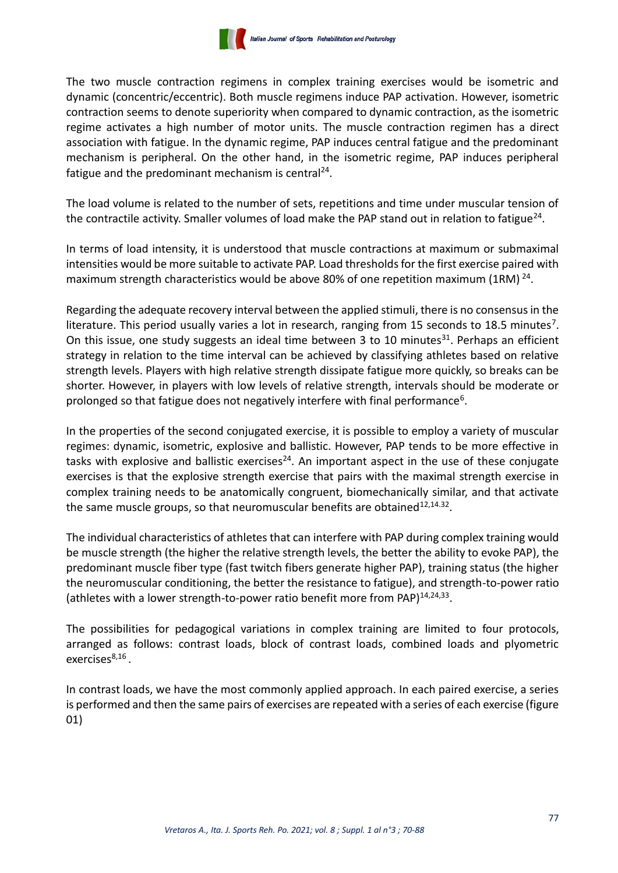

The two muscle contraction regimens in complex training exercises would be isometric and dynamic (concentric/eccentric). Both muscle regimens induce PAP activation. However, isometric contraction seems to denote superiority when compared to dynamic contraction, as the isometric regime activates a high number of motor units. The muscle contraction regimen has a direct association with fatigue. In the dynamic regime, PAP induces central fatigue and the predominant mechanism is peripheral. On the other hand, in the isometric regime, PAP induces peripheral fatigue and the predominant mechanism is central<sup>24</sup>.

The load volume is related to the number of sets, repetitions and time under muscular tension of the contractile activity. Smaller volumes of load make the PAP stand out in relation to fatigue<sup>24</sup>.

In terms of load intensity, it is understood that muscle contractions at maximum or submaximal intensities would be more suitable to activate PAP. Load thresholds for the first exercise paired with maximum strength characteristics would be above 80% of one repetition maximum (1RM)<sup>24</sup>.

Regarding the adequate recovery interval between the applied stimuli, there is no consensus in the literature. This period usually varies a lot in research, ranging from 15 seconds to 18.5 minutes<sup>7</sup>. On this issue, one study suggests an ideal time between 3 to 10 minutes<sup>31</sup>. Perhaps an efficient strategy in relation to the time interval can be achieved by classifying athletes based on relative strength levels. Players with high relative strength dissipate fatigue more quickly, so breaks can be shorter. However, in players with low levels of relative strength, intervals should be moderate or prolonged so that fatigue does not negatively interfere with final performance<sup>6</sup>.

In the properties of the second conjugated exercise, it is possible to employ a variety of muscular regimes: dynamic, isometric, explosive and ballistic. However, PAP tends to be more effective in tasks with explosive and ballistic exercises<sup>24</sup>. An important aspect in the use of these conjugate exercises is that the explosive strength exercise that pairs with the maximal strength exercise in complex training needs to be anatomically congruent, biomechanically similar, and that activate the same muscle groups, so that neuromuscular benefits are obtained<sup>12,14.32</sup>.

The individual characteristics of athletes that can interfere with PAP during complex training would be muscle strength (the higher the relative strength levels, the better the ability to evoke PAP), the predominant muscle fiber type (fast twitch fibers generate higher PAP), training status (the higher the neuromuscular conditioning, the better the resistance to fatigue), and strength-to-power ratio (athletes with a lower strength-to-power ratio benefit more from PAP)<sup>14,24,33</sup>.

The possibilities for pedagogical variations in complex training are limited to four protocols, arranged as follows: contrast loads, block of contrast loads, combined loads and plyometric exercises<sup>8,16</sup>.

In contrast loads, we have the most commonly applied approach. In each paired exercise, a series is performed and then the same pairs of exercises are repeated with a series of each exercise (figure 01)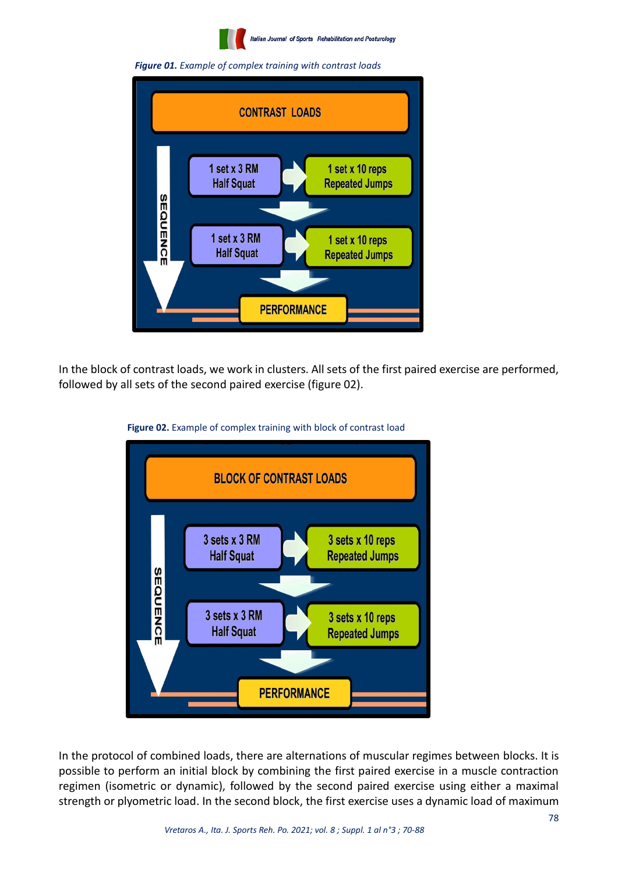

*Figure 01. Example of complex training with contrast loads*



In the block of contrast loads, we work in clusters. All sets of the first paired exercise are performed, followed by all sets of the second paired exercise (figure 02).



 **Figure 02.** Example of complex training with block of contrast load

In the protocol of combined loads, there are alternations of muscular regimes between blocks. It is possible to perform an initial block by combining the first paired exercise in a muscle contraction regimen (isometric or dynamic), followed by the second paired exercise using either a maximal strength or plyometric load. In the second block, the first exercise uses a dynamic load of maximum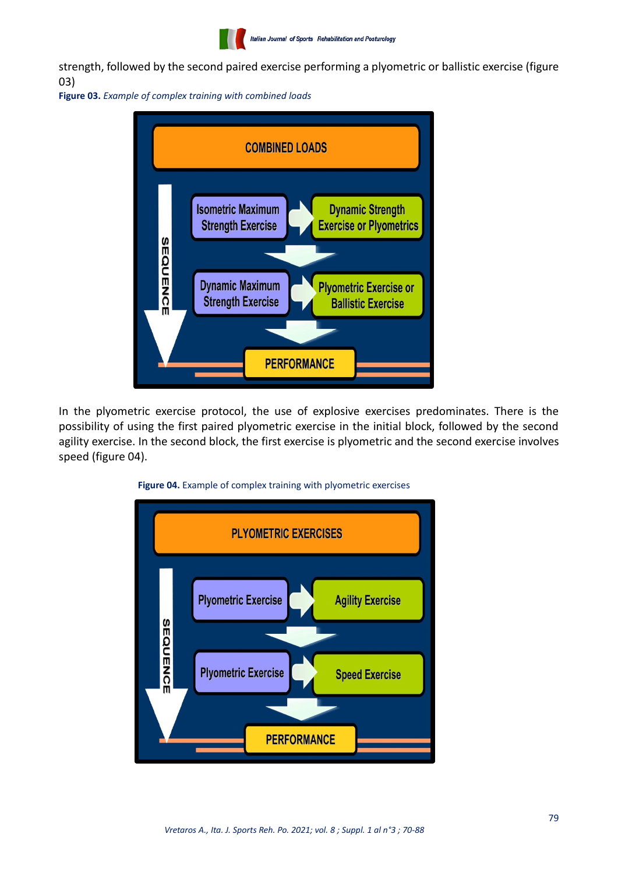|  |  |  |  | Italian Journal of Sports Rehabilitation and Posturology |
|--|--|--|--|----------------------------------------------------------|
|--|--|--|--|----------------------------------------------------------|

strength, followed by the second paired exercise performing a plyometric or ballistic exercise (figure 03)

**Figure 03.** *Example of complex training with combined loads*



In the plyometric exercise protocol, the use of explosive exercises predominates. There is the possibility of using the first paired plyometric exercise in the initial block, followed by the second agility exercise. In the second block, the first exercise is plyometric and the second exercise involves speed (figure 04).



## **Figure 04.** Example of complex training with plyometric exercises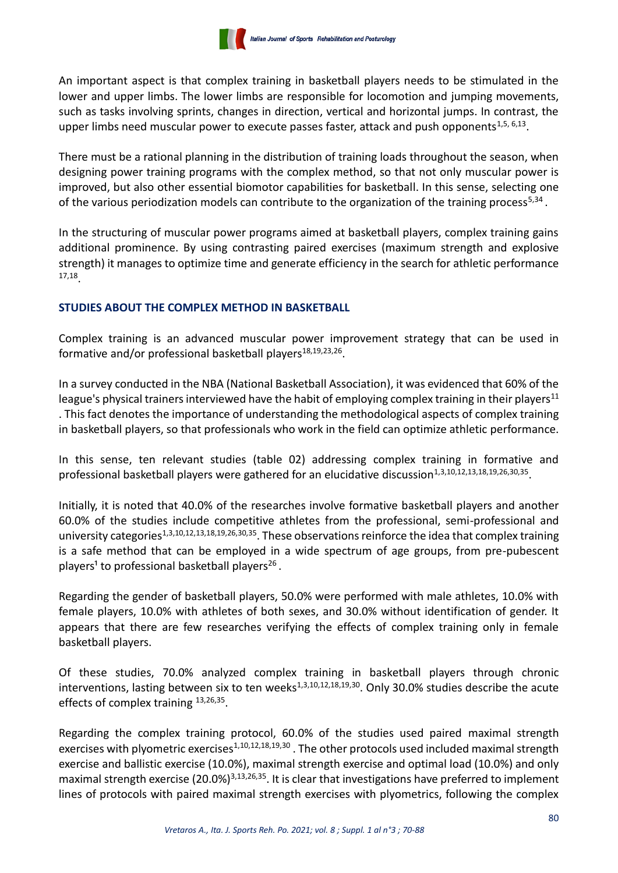An important aspect is that complex training in basketball players needs to be stimulated in the lower and upper limbs. The lower limbs are responsible for locomotion and jumping movements, such as tasks involving sprints, changes in direction, vertical and horizontal jumps. In contrast, the upper limbs need muscular power to execute passes faster, attack and push opponents<sup>1,5, 6,13</sup>.

There must be a rational planning in the distribution of training loads throughout the season, when designing power training programs with the complex method, so that not only muscular power is improved, but also other essential biomotor capabilities for basketball. In this sense, selecting one of the various periodization models can contribute to the organization of the training process<sup>5,34</sup>.

In the structuring of muscular power programs aimed at basketball players, complex training gains additional prominence. By using contrasting paired exercises (maximum strength and explosive strength) it manages to optimize time and generate efficiency in the search for athletic performance 17,18 .

# **STUDIES ABOUT THE COMPLEX METHOD IN BASKETBALL**

Complex training is an advanced muscular power improvement strategy that can be used in formative and/or professional basketball players<sup>18,19,23,26</sup>.

In a survey conducted in the NBA (National Basketball Association), it was evidenced that 60% of the league's physical trainers interviewed have the habit of employing complex training in their players<sup>11</sup> . This fact denotes the importance of understanding the methodological aspects of complex training in basketball players, so that professionals who work in the field can optimize athletic performance.

In this sense, ten relevant studies (table 02) addressing complex training in formative and professional basketball players were gathered for an elucidative discussion<sup>1,3,10,12,13,18,19,26,30,35</sup>.

Initially, it is noted that 40.0% of the researches involve formative basketball players and another 60.0% of the studies include competitive athletes from the professional, semi-professional and university categories<sup>1,3,10,12,13,18,19,26,30,35</sup>. These observations reinforce the idea that complex training is a safe method that can be employed in a wide spectrum of age groups, from pre-pubescent players<sup>1</sup> to professional basketball players<sup>26</sup>.

Regarding the gender of basketball players, 50.0% were performed with male athletes, 10.0% with female players, 10.0% with athletes of both sexes, and 30.0% without identification of gender. It appears that there are few researches verifying the effects of complex training only in female basketball players.

Of these studies, 70.0% analyzed complex training in basketball players through chronic interventions, lasting between six to ten weeks $^{1,3,10,12,18,19,30}$ . Only 30.0% studies describe the acute effects of complex training 13,26,35.

Regarding the complex training protocol, 60.0% of the studies used paired maximal strength exercises with plyometric exercises<sup>1,10,12,18,19,30</sup>. The other protocols used included maximal strength exercise and ballistic exercise (10.0%), maximal strength exercise and optimal load (10.0%) and only maximal strength exercise (20.0%)3,13,26,35. It is clear that investigations have preferred to implement lines of protocols with paired maximal strength exercises with plyometrics, following the complex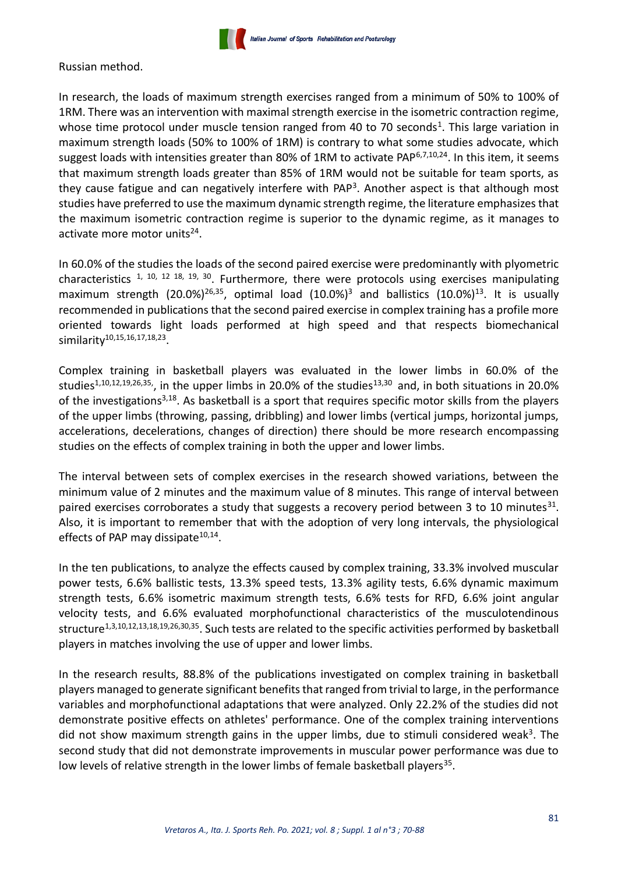

Russian method.

In research, the loads of maximum strength exercises ranged from a minimum of 50% to 100% of 1RM. There was an intervention with maximal strength exercise in the isometric contraction regime, whose time protocol under muscle tension ranged from 40 to 70 seconds<sup>1</sup>. This large variation in maximum strength loads (50% to 100% of 1RM) is contrary to what some studies advocate, which suggest loads with intensities greater than 80% of 1RM to activate PAP $6,7,10,24$ . In this item, it seems that maximum strength loads greater than 85% of 1RM would not be suitable for team sports, as they cause fatigue and can negatively interfere with PAP<sup>3</sup>. Another aspect is that although most studies have preferred to use the maximum dynamic strength regime, the literature emphasizes that the maximum isometric contraction regime is superior to the dynamic regime, as it manages to activate more motor units<sup>24</sup>.

In 60.0% of the studies the loads of the second paired exercise were predominantly with plyometric characteristics  $1, 10, 12, 18, 19, 30$ . Furthermore, there were protocols using exercises manipulating maximum strength  $(20.0\%)^{26,35}$ , optimal load  $(10.0\%)^{3}$  and ballistics  $(10.0\%)^{13}$ . It is usually recommended in publications that the second paired exercise in complex training has a profile more oriented towards light loads performed at high speed and that respects biomechanical similarity<sup>10,15,16,17,18,23</sup>.

Complex training in basketball players was evaluated in the lower limbs in 60.0% of the studies<sup>1,10,12,19,26,35</sup>, in the upper limbs in 20.0% of the studies<sup>13,30</sup> and, in both situations in 20.0% of the investigations<sup>3,18</sup>. As basketball is a sport that requires specific motor skills from the players of the upper limbs (throwing, passing, dribbling) and lower limbs (vertical jumps, horizontal jumps, accelerations, decelerations, changes of direction) there should be more research encompassing studies on the effects of complex training in both the upper and lower limbs.

The interval between sets of complex exercises in the research showed variations, between the minimum value of 2 minutes and the maximum value of 8 minutes. This range of interval between paired exercises corroborates a study that suggests a recovery period between 3 to 10 minutes $^{31}$ . Also, it is important to remember that with the adoption of very long intervals, the physiological effects of PAP may dissipate<sup>10,14</sup>.

In the ten publications, to analyze the effects caused by complex training, 33.3% involved muscular power tests, 6.6% ballistic tests, 13.3% speed tests, 13.3% agility tests, 6.6% dynamic maximum strength tests, 6.6% isometric maximum strength tests, 6.6% tests for RFD, 6.6% joint angular velocity tests, and 6.6% evaluated morphofunctional characteristics of the musculotendinous structure<sup>1,3,10,12,13,18,19,26,30,35</sup>. Such tests are related to the specific activities performed by basketball players in matches involving the use of upper and lower limbs.

In the research results, 88.8% of the publications investigated on complex training in basketball players managed to generate significant benefits that ranged from trivial to large, in the performance variables and morphofunctional adaptations that were analyzed. Only 22.2% of the studies did not demonstrate positive effects on athletes' performance. One of the complex training interventions did not show maximum strength gains in the upper limbs, due to stimuli considered weak<sup>3</sup>. The second study that did not demonstrate improvements in muscular power performance was due to low levels of relative strength in the lower limbs of female basketball players<sup>35</sup>.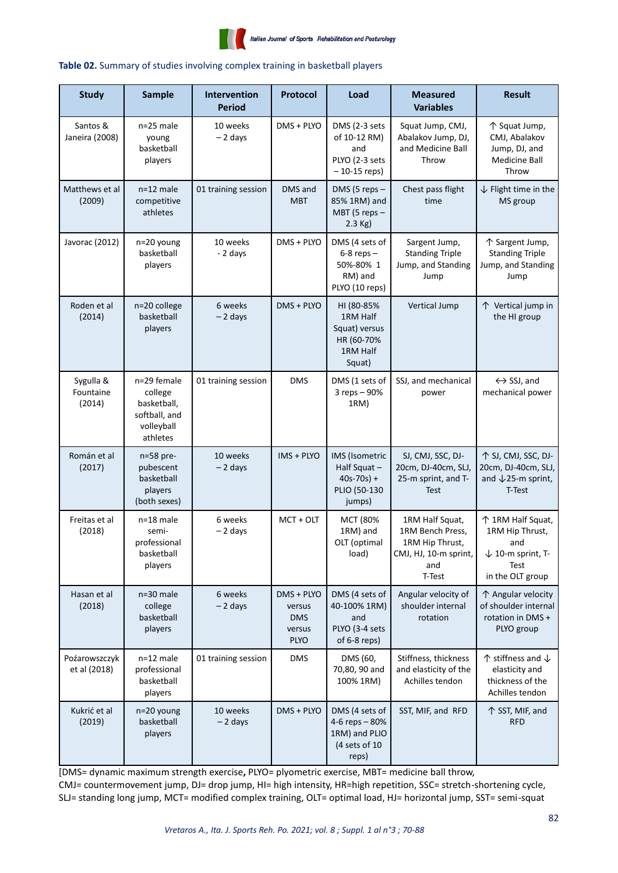

#### **Table 02.** Summary of studies involving complex training in basketball players

| <b>Study</b>                     | <b>Sample</b>                                                                    | Intervention<br><b>Period</b> | Protocol                                                    | Load                                                                         | <b>Measured</b><br><b>Variables</b>                                                              | <b>Result</b>                                                                                           |
|----------------------------------|----------------------------------------------------------------------------------|-------------------------------|-------------------------------------------------------------|------------------------------------------------------------------------------|--------------------------------------------------------------------------------------------------|---------------------------------------------------------------------------------------------------------|
| Santos &<br>Janeira (2008)       | n=25 male<br>young<br>basketball<br>players                                      | 10 weeks<br>$-2$ days         | DMS + PLYO                                                  | DMS (2-3 sets<br>of 10-12 RM)<br>and<br>PLYO (2-3 sets<br>$-10-15$ reps)     | Squat Jump, CMJ,<br>Abalakov Jump, DJ,<br>and Medicine Ball<br>Throw                             | 个 Squat Jump,<br>CMJ, Abalakov<br>Jump, DJ, and<br><b>Medicine Ball</b><br>Throw                        |
| Matthews et al<br>(2009)         | $n=12$ male<br>competitive<br>athletes                                           | 01 training session           | DMS and<br><b>MBT</b>                                       | DMS (5 reps $-$<br>85% 1RM) and<br>MBT (5 reps -<br>$2.3$ Kg)                | Chest pass flight<br>time                                                                        | $\downarrow$ Flight time in the<br>MS group                                                             |
| Javorac (2012)                   | n=20 young<br>basketball<br>players                                              | 10 weeks<br>- 2 days          | DMS + PLYO                                                  | DMS (4 sets of<br>$6-8$ reps $-$<br>50%-80% 1<br>RM) and<br>PLYO (10 reps)   | Sargent Jump,<br><b>Standing Triple</b><br>Jump, and Standing<br>Jump                            | 个 Sargent Jump,<br><b>Standing Triple</b><br>Jump, and Standing<br>Jump                                 |
| Roden et al<br>(2014)            | n=20 college<br>basketball<br>players                                            | 6 weeks<br>$-2$ days          | DMS + PLYO                                                  | HI (80-85%<br>1RM Half<br>Squat) versus<br>HR (60-70%<br>1RM Half<br>Squat)  | Vertical Jump                                                                                    | 个 Vertical jump in<br>the HI group                                                                      |
| Sygulla &<br>Fountaine<br>(2014) | n=29 female<br>college<br>basketball,<br>softball, and<br>volleyball<br>athletes | 01 training session           | <b>DMS</b>                                                  | DMS (1 sets of<br>3 reps - 90%<br>1RM)                                       | SSJ, and mechanical<br>power                                                                     | $\leftrightarrow$ SSJ, and<br>mechanical power                                                          |
| Román et al<br>(2017)            | n=58 pre-<br>pubescent<br>basketball<br>players<br>(both sexes)                  | 10 weeks<br>$-2$ days         | IMS + PLYO                                                  | IMS (Isometric<br>Half Squat-<br>$40s-70s$ ) +<br>PLIO (50-130<br>jumps)     | SJ, CMJ, SSC, DJ-<br>20cm, DJ-40cm, SLJ,<br>25-m sprint, and T-<br><b>Test</b>                   | ↑ SJ, CMJ, SSC, DJ-<br>20cm, DJ-40cm, SLJ,<br>and $\sqrt{25}$ -m sprint,<br>T-Test                      |
| Freitas et al<br>(2018)          | $n=18$ male<br>semi-<br>professional<br>basketball<br>players                    | 6 weeks<br>$-2$ days          | $MCT + OUT$                                                 | MCT (80%<br>1RM) and<br>OLT (optimal<br>load)                                | 1RM Half Squat,<br>1RM Bench Press,<br>1RM Hip Thrust,<br>CMJ, HJ, 10-m sprint,<br>and<br>T-Test | 个 1RM Half Squat,<br>1RM Hip Thrust,<br>and<br>$\downarrow$ 10-m sprint, T-<br>Test<br>in the OLT group |
| Hasan et al<br>(2018)            | n=30 male<br>college<br>basketball<br>players                                    | 6 weeks<br>$-2$ days          | DMS + PLYO<br>versus<br><b>DMS</b><br>versus<br><b>PLYO</b> | DMS (4 sets of<br>40-100% 1RM)<br>and<br>PLYO (3-4 sets<br>of 6-8 reps)      | Angular velocity of<br>shoulder internal<br>rotation                                             | ↑ Angular velocity<br>of shoulder internal<br>rotation in DMS +<br>PLYO group                           |
| Poźarowszczyk<br>et al (2018)    | $n=12$ male<br>professional<br>basketball<br>players                             | 01 training session           | <b>DMS</b>                                                  | DMS (60,<br>70,80, 90 and<br>100% 1RM)                                       | Stiffness, thickness<br>and elasticity of the<br>Achilles tendon                                 | $\uparrow$ stiffness and $\downarrow$<br>elasticity and<br>thickness of the<br>Achilles tendon          |
| Kukrić et al<br>(2019)           | n=20 young<br>basketball<br>players                                              | 10 weeks<br>$-2$ days         | DMS + PLYO                                                  | DMS (4 sets of<br>4-6 reps - 80%<br>1RM) and PLIO<br>(4 sets of 10)<br>reps) | SST, MIF, and RFD                                                                                | 个 SST, MIF, and<br><b>RFD</b>                                                                           |

[DMS= dynamic maximum strength exercise**,** PLYO= plyometric exercise, MBT= medicine ball throw, CMJ= countermovement jump, DJ= drop jump, HI= high intensity, HR=high repetition, SSC= stretch-shortening cycle, SLJ= standing long jump, MCT= modified complex training, OLT= optimal load, HJ= horizontal jump, SST= semi-squat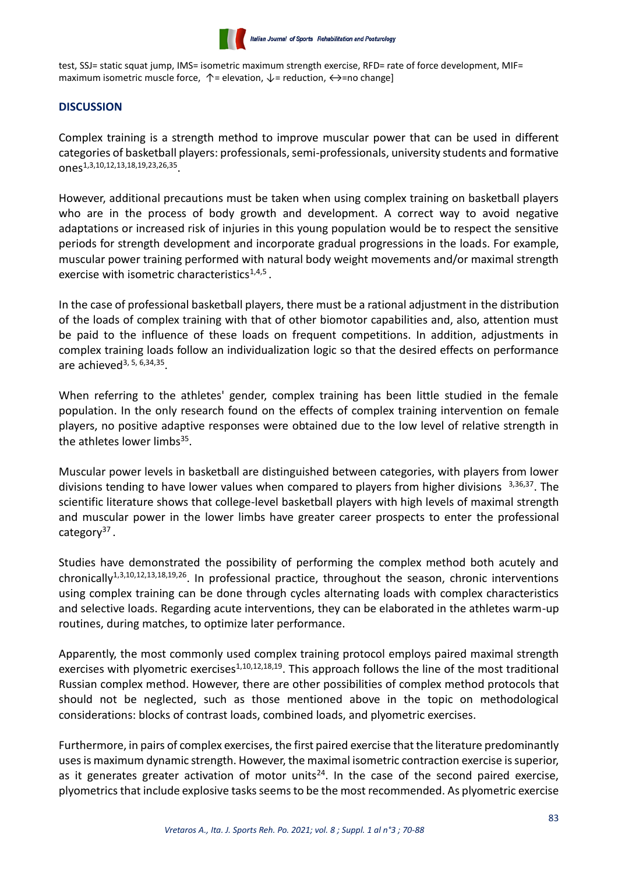

test, SSJ= static squat jump, IMS= isometric maximum strength exercise, RFD= rate of force development, MIF= maximum isometric muscle force,  $\uparrow$  = elevation,  $\downarrow$  = reduction,  $\leftrightarrow$  =no change]

# **DISCUSSION**

Complex training is a strength method to improve muscular power that can be used in different categories of basketball players: professionals, semi-professionals, university students and formative ones1,3,10,12,13,18,19,23,26,35 .

However, additional precautions must be taken when using complex training on basketball players who are in the process of body growth and development. A correct way to avoid negative adaptations or increased risk of injuries in this young population would be to respect the sensitive periods for strength development and incorporate gradual progressions in the loads. For example, muscular power training performed with natural body weight movements and/or maximal strength exercise with isometric characteristics $1,4,5$ .

In the case of professional basketball players, there must be a rational adjustment in the distribution of the loads of complex training with that of other biomotor capabilities and, also, attention must be paid to the influence of these loads on frequent competitions. In addition, adjustments in complex training loads follow an individualization logic so that the desired effects on performance are achieved<sup>3, 5, 6,34,35</sup>.

When referring to the athletes' gender, complex training has been little studied in the female population. In the only research found on the effects of complex training intervention on female players, no positive adaptive responses were obtained due to the low level of relative strength in the athletes lower limbs<sup>35</sup>.

Muscular power levels in basketball are distinguished between categories, with players from lower divisions tending to have lower values when compared to players from higher divisions  $3,36,37$ . The scientific literature shows that college-level basketball players with high levels of maximal strength and muscular power in the lower limbs have greater career prospects to enter the professional category<sup>37</sup>.

Studies have demonstrated the possibility of performing the complex method both acutely and chronically<sup>1,3,10,12,13,18,19,26</sup>. In professional practice, throughout the season, chronic interventions using complex training can be done through cycles alternating loads with complex characteristics and selective loads. Regarding acute interventions, they can be elaborated in the athletes warm-up routines, during matches, to optimize later performance.

Apparently, the most commonly used complex training protocol employs paired maximal strength exercises with plyometric exercises<sup>1,10,12,18,19</sup>. This approach follows the line of the most traditional Russian complex method. However, there are other possibilities of complex method protocols that should not be neglected, such as those mentioned above in the topic on methodological considerations: blocks of contrast loads, combined loads, and plyometric exercises.

Furthermore, in pairs of complex exercises, the first paired exercise that the literature predominantly uses is maximum dynamic strength. However, the maximal isometric contraction exercise is superior, as it generates greater activation of motor units<sup>24</sup>. In the case of the second paired exercise, plyometrics that include explosive tasks seems to be the most recommended. As plyometric exercise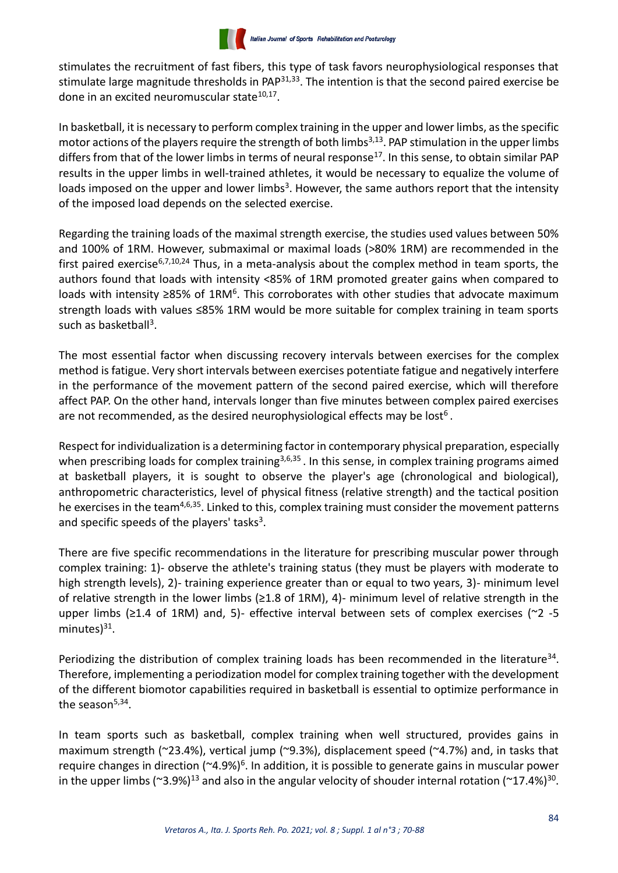stimulates the recruitment of fast fibers, this type of task favors neurophysiological responses that stimulate large magnitude thresholds in PAP $31,33$ . The intention is that the second paired exercise be done in an excited neuromuscular state<sup>10,17</sup>.

In basketball, it is necessary to perform complex training in the upper and lower limbs, as the specific motor actions of the players require the strength of both limbs<sup>3,13</sup>. PAP stimulation in the upper limbs differs from that of the lower limbs in terms of neural response<sup>17</sup>. In this sense, to obtain similar PAP results in the upper limbs in well-trained athletes, it would be necessary to equalize the volume of loads imposed on the upper and lower limbs<sup>3</sup>. However, the same authors report that the intensity of the imposed load depends on the selected exercise.

Regarding the training loads of the maximal strength exercise, the studies used values between 50% and 100% of 1RM. However, submaximal or maximal loads (>80% 1RM) are recommended in the first paired exercise<sup>6,7,10,24</sup> Thus, in a meta-analysis about the complex method in team sports, the authors found that loads with intensity <85% of 1RM promoted greater gains when compared to loads with intensity ≥85% of 1RM<sup>6</sup>. This corroborates with other studies that advocate maximum strength loads with values ≤85% 1RM would be more suitable for complex training in team sports such as basketball<sup>3</sup>.

The most essential factor when discussing recovery intervals between exercises for the complex method is fatigue. Very short intervals between exercises potentiate fatigue and negatively interfere in the performance of the movement pattern of the second paired exercise, which will therefore affect PAP. On the other hand, intervals longer than five minutes between complex paired exercises are not recommended, as the desired neurophysiological effects may be lost<sup>6</sup>.

Respect for individualization is a determining factor in contemporary physical preparation, especially when prescribing loads for complex training<sup>3,6,35</sup>. In this sense, in complex training programs aimed at basketball players, it is sought to observe the player's age (chronological and biological), anthropometric characteristics, level of physical fitness (relative strength) and the tactical position he exercises in the team4,6,35. Linked to this, complex training must consider the movement patterns and specific speeds of the players' tasks<sup>3</sup>.

There are five specific recommendations in the literature for prescribing muscular power through complex training: 1)- observe the athlete's training status (they must be players with moderate to high strength levels), 2)- training experience greater than or equal to two years, 3)- minimum level of relative strength in the lower limbs (≥1.8 of 1RM), 4)- minimum level of relative strength in the upper limbs ( $\geq 1.4$  of 1RM) and, 5)- effective interval between sets of complex exercises ( $\approx$  -5 minutes)<sup>31</sup>.

Periodizing the distribution of complex training loads has been recommended in the literature<sup>34</sup>. Therefore, implementing a periodization model for complex training together with the development of the different biomotor capabilities required in basketball is essential to optimize performance in the season<sup>5,34</sup>.

In team sports such as basketball, complex training when well structured, provides gains in maximum strength (~23.4%), vertical jump (~9.3%), displacement speed (~4.7%) and, in tasks that require changes in direction (~4.9%)<sup>6</sup>. In addition, it is possible to generate gains in muscular power in the upper limbs (~3.9%)<sup>13</sup> and also in the angular velocity of shouder internal rotation (~17.4%)<sup>30</sup>.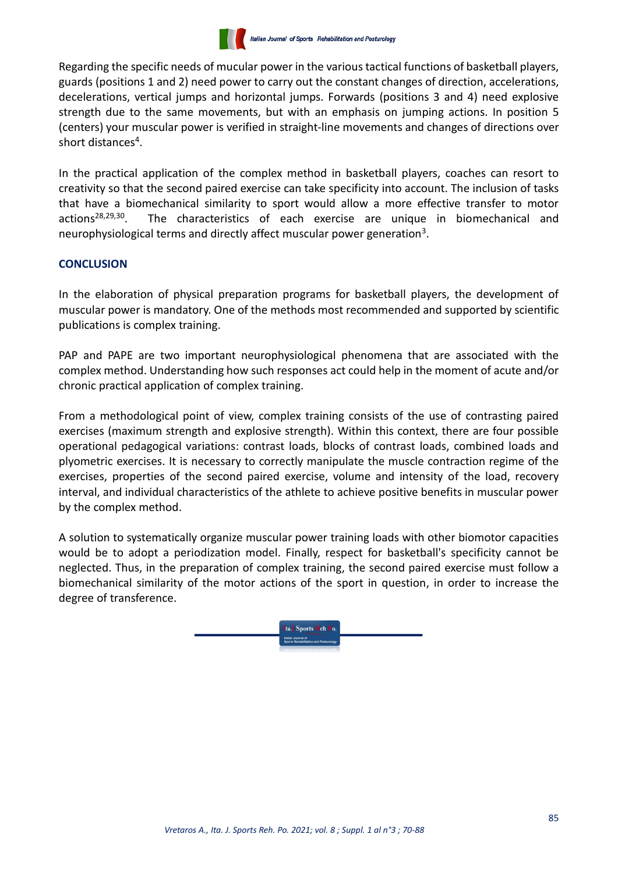

Regarding the specific needs of mucular power in the various tactical functions of basketball players, guards (positions 1 and 2) need power to carry out the constant changes of direction, accelerations, decelerations, vertical jumps and horizontal jumps. Forwards (positions 3 and 4) need explosive strength due to the same movements, but with an emphasis on jumping actions. In position 5 (centers) your muscular power is verified in straight-line movements and changes of directions over short distances<sup>4</sup>.

In the practical application of the complex method in basketball players, coaches can resort to creativity so that the second paired exercise can take specificity into account. The inclusion of tasks that have a biomechanical similarity to sport would allow a more effective transfer to motor actions<sup>28,29,30</sup>. The characteristics of each exercise are unique in biomechanical and neurophysiological terms and directly affect muscular power generation<sup>3</sup>.

# **CONCLUSION**

In the elaboration of physical preparation programs for basketball players, the development of muscular power is mandatory. One of the methods most recommended and supported by scientific publications is complex training.

PAP and PAPE are two important neurophysiological phenomena that are associated with the complex method. Understanding how such responses act could help in the moment of acute and/or chronic practical application of complex training.

From a methodological point of view, complex training consists of the use of contrasting paired exercises (maximum strength and explosive strength). Within this context, there are four possible operational pedagogical variations: contrast loads, blocks of contrast loads, combined loads and plyometric exercises. It is necessary to correctly manipulate the muscle contraction regime of the exercises, properties of the second paired exercise, volume and intensity of the load, recovery interval, and individual characteristics of the athlete to achieve positive benefits in muscular power by the complex method.

A solution to systematically organize muscular power training loads with other biomotor capacities would be to adopt a periodization model. Finally, respect for basketball's specificity cannot be neglected. Thus, in the preparation of complex training, the second paired exercise must follow a biomechanical similarity of the motor actions of the sport in question, in order to increase the degree of transference.

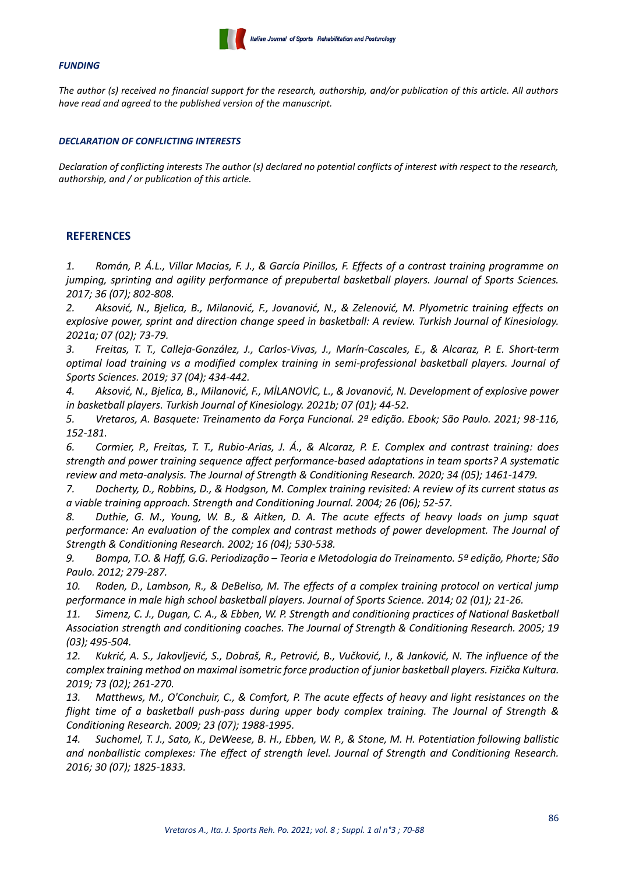

#### *FUNDING*

*The author (s) received no financial support for the research, authorship, and/or publication of this article. All authors have read and agreed to the published version of the manuscript.*

#### *DECLARATION OF CONFLICTING INTERESTS*

*Declaration of conflicting interests The author (s) declared no potential conflicts of interest with respect to the research, authorship, and / or publication of this article.*

#### **REFERENCES**

*1. Román, P. Á.L., Villar Macias, F. J., & García Pinillos, F. Effects of a contrast training programme on jumping, sprinting and agility performance of prepubertal basketball players. Journal of Sports Sciences. 2017; 36 (07); 802-808.*

*2. Aksović, N., Bjelica, B., Milanović, F., Jovanović, N., & Zelenović, M. Plyometric training effects on explosive power, sprint and direction change speed in basketball: A review. Turkish Journal of Kinesiology. 2021a; 07 (02); 73-79.*

*3. Freitas, T. T., Calleja-González, J., Carlos-Vivas, J., Marín-Cascales, E., & Alcaraz, P. E. Short-term optimal load training vs a modified complex training in semi-professional basketball players. Journal of Sports Sciences. 2019; 37 (04); 434-442.*

*4. Aksović, N., Bjelica, B., Milanović, F., MİLANOVİC, L., & Jovanović, N. Development of explosive power in basketball players. Turkish Journal of Kinesiology. 2021b; 07 (01); 44-52.*

*5. Vretaros, A. Basquete: Treinamento da Força Funcional. 2ª edição. Ebook; São Paulo. 2021; 98-116, 152-181.*

*6. Cormier, P., Freitas, T. T., Rubio-Arias, J. Á., & Alcaraz, P. E. Complex and contrast training: does strength and power training sequence affect performance-based adaptations in team sports? A systematic review and meta-analysis. The Journal of Strength & Conditioning Research. 2020; 34 (05); 1461-1479.*

*7. Docherty, D., Robbins, D., & Hodgson, M. Complex training revisited: A review of its current status as a viable training approach. Strength and Conditioning Journal. 2004; 26 (06); 52-57.*

*8. Duthie, G. M., Young, W. B., & Aitken, D. A. The acute effects of heavy loads on jump squat performance: An evaluation of the complex and contrast methods of power development. The Journal of Strength & Conditioning Research. 2002; 16 (04); 530-538.*

*9. Bompa, T.O. & Haff, G.G. Periodização – Teoria e Metodologia do Treinamento. 5ª edição, Phorte; São Paulo. 2012; 279-287.*

*10. Roden, D., Lambson, R., & DeBeliso, M. The effects of a complex training protocol on vertical jump performance in male high school basketball players. Journal of Sports Science. 2014; 02 (01); 21-26.*

11. *Simenz, C. J., Dugan, C. A., & Ebben, W. P. Strength and conditioning practices of National Basketball Association strength and conditioning coaches. The Journal of Strength & Conditioning Research. 2005; 19 (03); 495-504.*

*12. Kukrić, A. S., Jakovljević, S., Dobraš, R., Petrović, B., Vučković, I., & Janković, N. The influence of the complex training method on maximal isometric force production of junior basketball players. Fizička Kultura. 2019; 73 (02); 261-270.*

*13. Matthews, M., O'Conchuir, C., & Comfort, P. The acute effects of heavy and light resistances on the flight time of a basketball push-pass during upper body complex training. The Journal of Strength & Conditioning Research. 2009; 23 (07); 1988-1995.*

*14. Suchomel, T. J., Sato, K., DeWeese, B. H., Ebben, W. P., & Stone, M. H. Potentiation following ballistic and nonballistic complexes: The effect of strength level. Journal of Strength and Conditioning Research. 2016; 30 (07); 1825-1833.*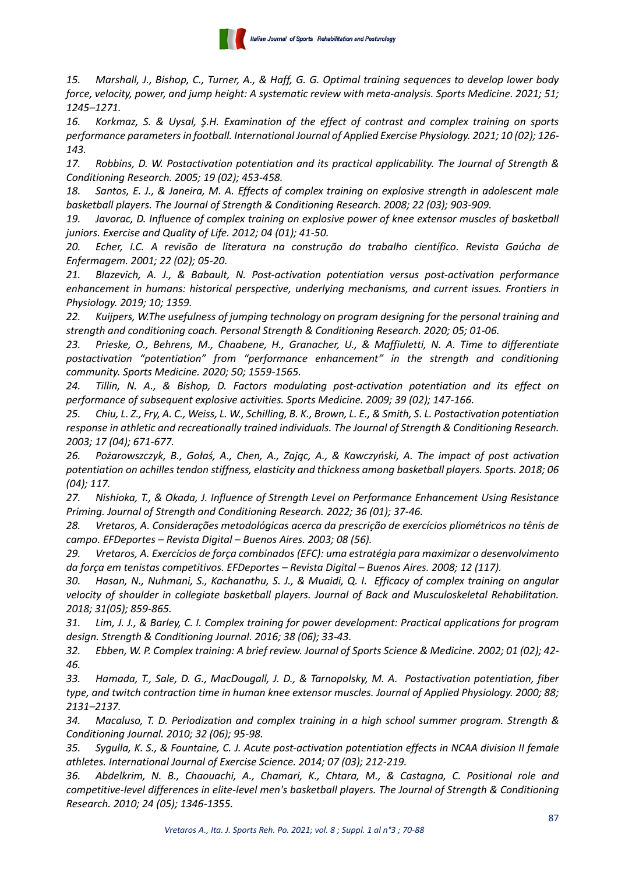

*15. Marshall, J., Bishop, C., Turner, A., & Haff, G. G. Optimal training sequences to develop lower body force, velocity, power, and jump height: A systematic review with meta-analysis. Sports Medicine. 2021; 51; 1245–1271.*

*16. Korkmaz, S. & Uysal, Ş.H. Examination of the effect of contrast and complex training on sports performance parameters in football. International Journal of Applied Exercise Physiology. 2021; 10 (02); 126- 143.*

*17. Robbins, D. W. Postactivation potentiation and its practical applicability. The Journal of Strength & Conditioning Research. 2005; 19 (02); 453-458.*

*18. Santos, E. J., & Janeira, M. A. Effects of complex training on explosive strength in adolescent male basketball players. The Journal of Strength & Conditioning Research. 2008; 22 (03); 903-909.*

*19. Javorac, D. Influence of complex training on explosive power of knee extensor muscles of basketball juniors. Exercise and Quality of Life. 2012; 04 (01); 41-50.*

*20. Echer, I.C. A revisão de literatura na construção do trabalho científico. Revista Gaúcha de Enfermagem. 2001; 22 (02); 05-20.*

*21. Blazevich, A. J., & Babault, N. Post-activation potentiation versus post-activation performance enhancement in humans: historical perspective, underlying mechanisms, and current issues. Frontiers in Physiology. 2019; 10; 1359.*

*22. Kuijpers, W.The usefulness of jumping technology on program designing for the personal training and strength and conditioning coach. Personal Strength & Conditioning Research. 2020; 05; 01-06.*

*23. Prieske, O., Behrens, M., Chaabene, H., Granacher, U., & Maffiuletti, N. A. Time to differentiate postactivation "potentiation" from "performance enhancement" in the strength and conditioning community. Sports Medicine. 2020; 50; 1559-1565.*

*24. Tillin, N. A., & Bishop, D. Factors modulating post-activation potentiation and its effect on performance of subsequent explosive activities. Sports Medicine. 2009; 39 (02); 147-166.*

*25. Chiu, L. Z., Fry, A. C., Weiss, L. W., Schilling, B. K., Brown, L. E., & Smith, S. L. Postactivation potentiation response in athletic and recreationally trained individuals. The Journal of Strength & Conditioning Research. 2003; 17 (04); 671-677.*

*26. Pożarowszczyk, B., Gołaś, A., Chen, A., Zając, A., & Kawczyński, A. The impact of post activation potentiation on achilles tendon stiffness, elasticity and thickness among basketball players. Sports. 2018; 06 (04); 117.*

*27. Nishioka, T., & Okada, J. Influence of Strength Level on Performance Enhancement Using Resistance Priming. Journal of Strength and Conditioning Research. 2022; 36 (01); 37-46.*

*28. Vretaros, A. Considerações metodológicas acerca da prescrição de exercícios pliométricos no tênis de campo. EFDeportes – Revista Digital – Buenos Aires. 2003; 08 (56).*

*29. Vretaros, A. Exercícios de força combinados (EFC): uma estratégia para maximizar o desenvolvimento da força em tenistas competitivos. EFDeportes – Revista Digital – Buenos Aires. 2008; 12 (117).*

*30. Hasan, N., Nuhmani, S., Kachanathu, S. J., & Muaidi, Q. I. Efficacy of complex training on angular velocity of shoulder in collegiate basketball players. Journal of Back and Musculoskeletal Rehabilitation. 2018; 31(05); 859-865.*

*31. Lim, J. J., & Barley, C. I. Complex training for power development: Practical applications for program design. Strength & Conditioning Journal. 2016; 38 (06); 33-43.*

*32. Ebben, W. P. Complex training: A brief review. Journal of Sports Science & Medicine. 2002; 01 (02); 42- 46.*

*33. Hamada, T., Sale, D. G., MacDougall, J. D., & Tarnopolsky, M. A. Postactivation potentiation, fiber type, and twitch contraction time in human knee extensor muscles. Journal of Applied Physiology. 2000; 88; 2131–2137.*

*34. Macaluso, T. D. Periodization and complex training in a high school summer program. Strength & Conditioning Journal. 2010; 32 (06); 95-98.*

*35. Sygulla, K. S., & Fountaine, C. J. Acute post-activation potentiation effects in NCAA division II female athletes. International Journal of Exercise Science. 2014; 07 (03); 212-219.*

*36. Abdelkrim, N. B., Chaouachi, A., Chamari, K., Chtara, M., & Castagna, C. Positional role and competitive-level differences in elite-level men's basketball players. The Journal of Strength & Conditioning Research. 2010; 24 (05); 1346-1355.*